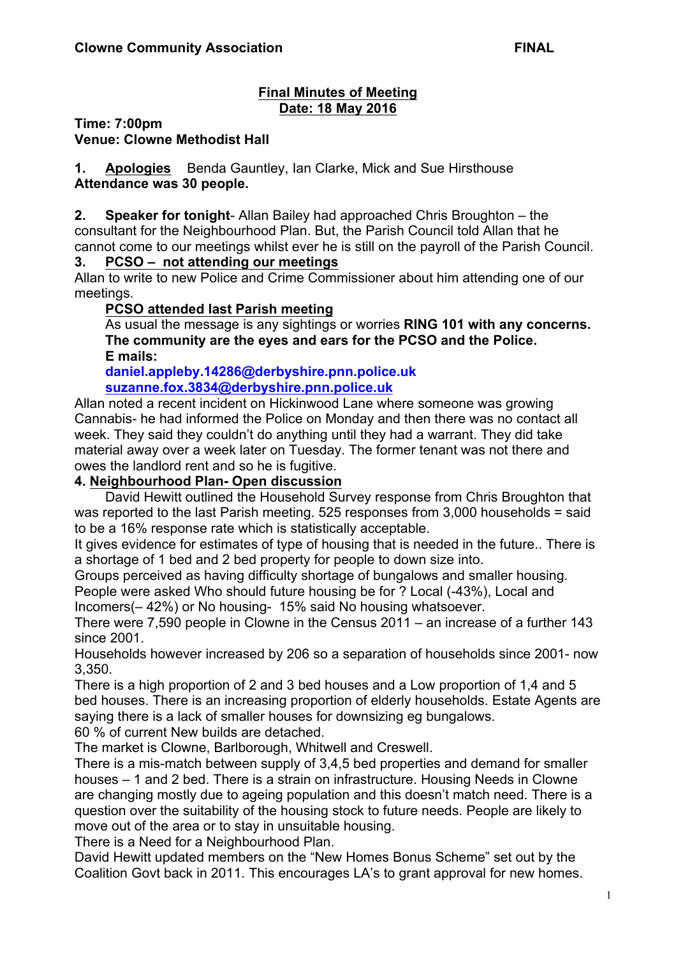#### **Final Minutes of Meeting Date: 18 May 2016**

**Time: 7:00pm**

**Venue: Clowne Methodist Hall**

**1. Apologies** Benda Gauntley, Ian Clarke, Mick and Sue Hirsthouse **Attendance was 30 people.**

**2. Speaker for tonight**- Allan Bailey had approached Chris Broughton – the consultant for the Neighbourhood Plan. But, the Parish Council told Allan that he cannot come to our meetings whilst ever he is still on the payroll of the Parish Council.

#### **3. PCSO – not attending our meetings**

Allan to write to new Police and Crime Commissioner about him attending one of our meetings.

#### **PCSO attended last Parish meeting**

As usual the message is any sightings or worries **RING 101 with any concerns. The community are the eyes and ears for the PCSO and the Police. E mails:**

**daniel.appleby.14286@derbyshire.pnn.police.uk**

#### **suzanne.fox.3834@derbyshire.pnn.police.uk**

Allan noted a recent incident on Hickinwood Lane where someone was growing Cannabis- he had informed the Police on Monday and then there was no contact all week. They said they couldn't do anything until they had a warrant. They did take material away over a week later on Tuesday. The former tenant was not there and owes the landlord rent and so he is fugitive.

### **4. Neighbourhood Plan- Open discussion**

David Hewitt outlined the Household Survey response from Chris Broughton that was reported to the last Parish meeting. 525 responses from 3,000 households = said to be a 16% response rate which is statistically acceptable.

It gives evidence for estimates of type of housing that is needed in the future.. There is a shortage of 1 bed and 2 bed property for people to down size into.

Groups perceived as having difficulty shortage of bungalows and smaller housing. People were asked Who should future housing be for ? Local (-43%), Local and Incomers(– 42%) or No housing- 15% said No housing whatsoever.

There were 7,590 people in Clowne in the Census 2011 – an increase of a further 143 since 2001.

Households however increased by 206 so a separation of households since 2001- now 3,350.

There is a high proportion of 2 and 3 bed houses and a Low proportion of 1,4 and 5 bed houses. There is an increasing proportion of elderly households. Estate Agents are saying there is a lack of smaller houses for downsizing eg bungalows.

60 % of current New builds are detached.

The market is Clowne, Barlborough, Whitwell and Creswell.

There is a mis-match between supply of 3,4,5 bed properties and demand for smaller houses – 1 and 2 bed. There is a strain on infrastructure. Housing Needs in Clowne are changing mostly due to ageing population and this doesn't match need. There is a question over the suitability of the housing stock to future needs. People are likely to move out of the area or to stay in unsuitable housing.

There is a Need for a Neighbourhood Plan.

David Hewitt updated members on the "New Homes Bonus Scheme" set out by the Coalition Govt back in 2011. This encourages LA's to grant approval for new homes.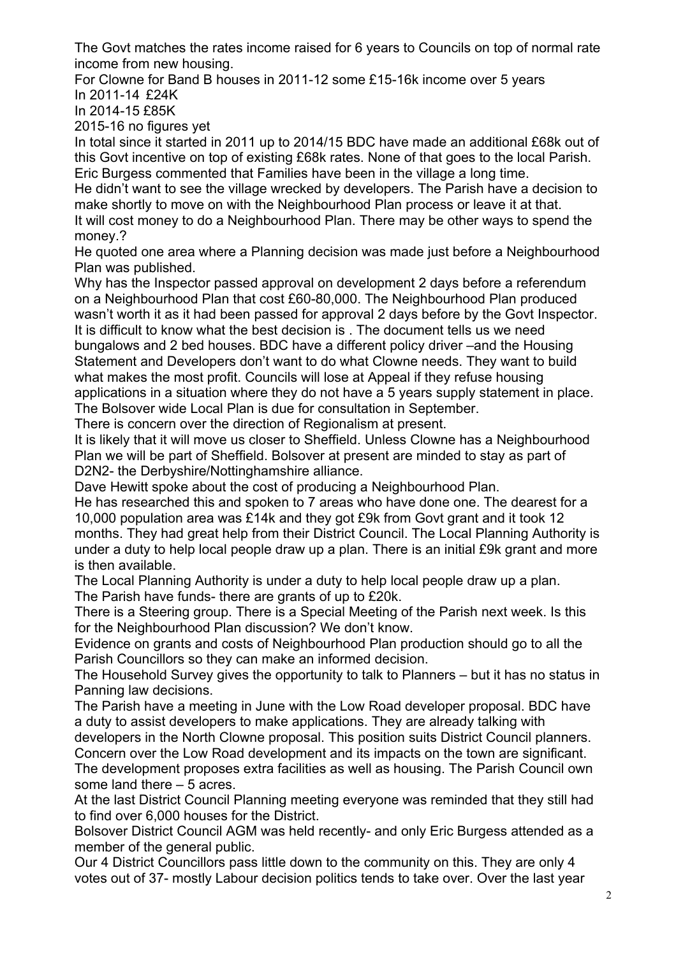The Govt matches the rates income raised for 6 years to Councils on top of normal rate income from new housing.

For Clowne for Band B houses in 2011-12 some £15-16k income over 5 years In 2011-14 £24K

In 2014-15 £85K

2015-16 no figures yet

In total since it started in 2011 up to 2014/15 BDC have made an additional £68k out of this Govt incentive on top of existing £68k rates. None of that goes to the local Parish. Eric Burgess commented that Families have been in the village a long time.

He didn't want to see the village wrecked by developers. The Parish have a decision to make shortly to move on with the Neighbourhood Plan process or leave it at that. It will cost money to do a Neighbourhood Plan. There may be other ways to spend the money.?

He quoted one area where a Planning decision was made just before a Neighbourhood Plan was published.

Why has the Inspector passed approval on development 2 days before a referendum on a Neighbourhood Plan that cost £60-80,000. The Neighbourhood Plan produced wasn't worth it as it had been passed for approval 2 days before by the Govt Inspector. It is difficult to know what the best decision is . The document tells us we need bungalows and 2 bed houses. BDC have a different policy driver –and the Housing Statement and Developers don't want to do what Clowne needs. They want to build what makes the most profit. Councils will lose at Appeal if they refuse housing applications in a situation where they do not have a 5 years supply statement in place.

The Bolsover wide Local Plan is due for consultation in September. There is concern over the direction of Regionalism at present.

It is likely that it will move us closer to Sheffield. Unless Clowne has a Neighbourhood Plan we will be part of Sheffield. Bolsover at present are minded to stay as part of D2N2- the Derbyshire/Nottinghamshire alliance.

Dave Hewitt spoke about the cost of producing a Neighbourhood Plan.

He has researched this and spoken to 7 areas who have done one. The dearest for a 10,000 population area was £14k and they got £9k from Govt grant and it took 12 months. They had great help from their District Council. The Local Planning Authority is under a duty to help local people draw up a plan. There is an initial £9k grant and more is then available.

The Local Planning Authority is under a duty to help local people draw up a plan. The Parish have funds- there are grants of up to £20k.

There is a Steering group. There is a Special Meeting of the Parish next week. Is this for the Neighbourhood Plan discussion? We don't know.

Evidence on grants and costs of Neighbourhood Plan production should go to all the Parish Councillors so they can make an informed decision.

The Household Survey gives the opportunity to talk to Planners – but it has no status in Panning law decisions.

The Parish have a meeting in June with the Low Road developer proposal. BDC have a duty to assist developers to make applications. They are already talking with

developers in the North Clowne proposal. This position suits District Council planners. Concern over the Low Road development and its impacts on the town are significant. The development proposes extra facilities as well as housing. The Parish Council own some land there – 5 acres.

At the last District Council Planning meeting everyone was reminded that they still had to find over 6,000 houses for the District.

Bolsover District Council AGM was held recently- and only Eric Burgess attended as a member of the general public.

Our 4 District Councillors pass little down to the community on this. They are only 4 votes out of 37- mostly Labour decision politics tends to take over. Over the last year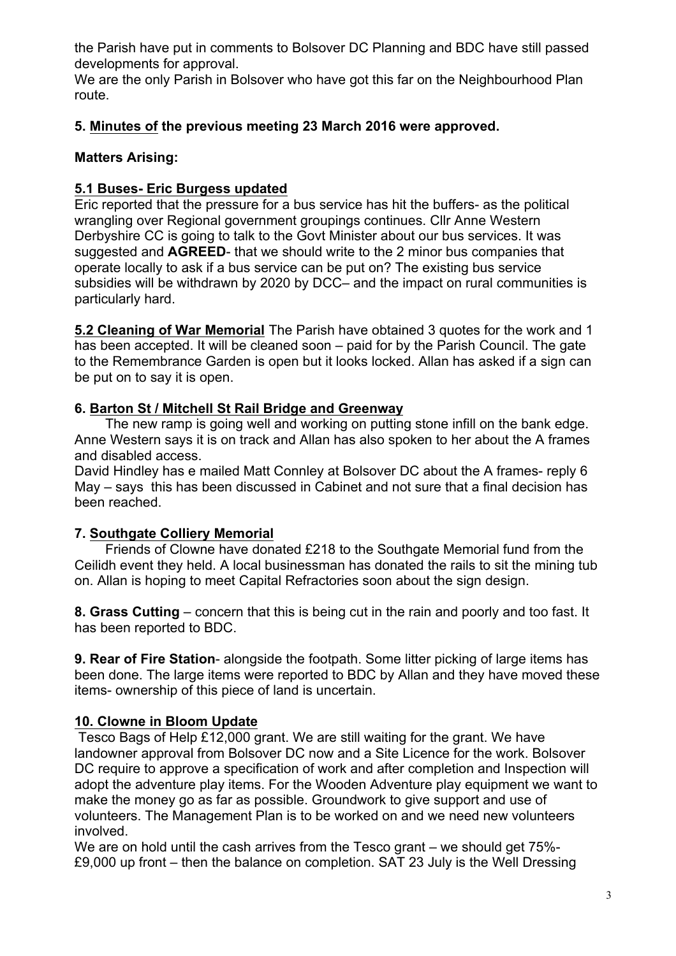the Parish have put in comments to Bolsover DC Planning and BDC have still passed developments for approval.

We are the only Parish in Bolsover who have got this far on the Neighbourhood Plan route.

## **5. Minutes of the previous meeting 23 March 2016 were approved.**

## **Matters Arising:**

## **5.1 Buses- Eric Burgess updated**

Eric reported that the pressure for a bus service has hit the buffers- as the political wrangling over Regional government groupings continues. Cllr Anne Western Derbyshire CC is going to talk to the Govt Minister about our bus services. It was suggested and **AGREED**- that we should write to the 2 minor bus companies that operate locally to ask if a bus service can be put on? The existing bus service subsidies will be withdrawn by 2020 by DCC– and the impact on rural communities is particularly hard.

**5.2 Cleaning of War Memorial** The Parish have obtained 3 quotes for the work and 1 has been accepted. It will be cleaned soon – paid for by the Parish Council. The gate to the Remembrance Garden is open but it looks locked. Allan has asked if a sign can be put on to say it is open.

# **6. Barton St / Mitchell St Rail Bridge and Greenway**

The new ramp is going well and working on putting stone infill on the bank edge. Anne Western says it is on track and Allan has also spoken to her about the A frames and disabled access.

David Hindley has e mailed Matt Connley at Bolsover DC about the A frames- reply 6 May – says this has been discussed in Cabinet and not sure that a final decision has been reached.

# **7. Southgate Colliery Memorial**

Friends of Clowne have donated £218 to the Southgate Memorial fund from the Ceilidh event they held. A local businessman has donated the rails to sit the mining tub on. Allan is hoping to meet Capital Refractories soon about the sign design.

**8. Grass Cutting** – concern that this is being cut in the rain and poorly and too fast. It has been reported to BDC.

**9. Rear of Fire Station**- alongside the footpath. Some litter picking of large items has been done. The large items were reported to BDC by Allan and they have moved these items- ownership of this piece of land is uncertain.

# **10. Clowne in Bloom Update**

Tesco Bags of Help £12,000 grant. We are still waiting for the grant. We have landowner approval from Bolsover DC now and a Site Licence for the work. Bolsover DC require to approve a specification of work and after completion and Inspection will adopt the adventure play items. For the Wooden Adventure play equipment we want to make the money go as far as possible. Groundwork to give support and use of volunteers. The Management Plan is to be worked on and we need new volunteers involved.

We are on hold until the cash arrives from the Tesco grant – we should get 75%-£9,000 up front – then the balance on completion. SAT 23 July is the Well Dressing